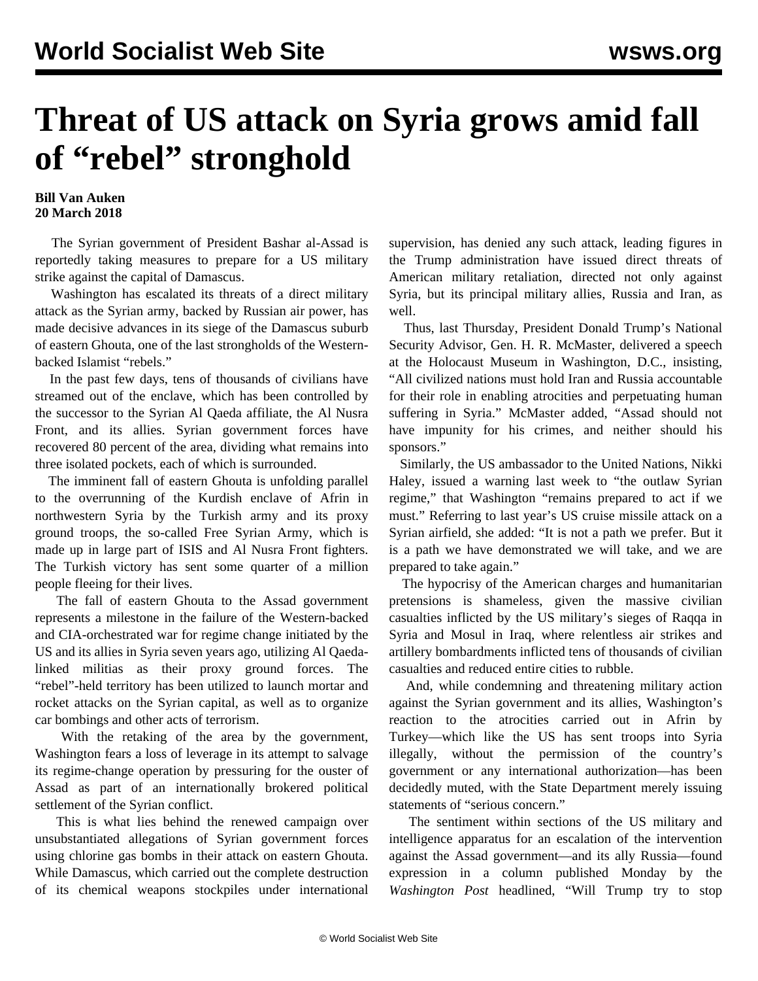## **Threat of US attack on Syria grows amid fall of "rebel" stronghold**

## **Bill Van Auken 20 March 2018**

 The Syrian government of President Bashar al-Assad is reportedly taking measures to prepare for a US military strike against the capital of Damascus.

 Washington has escalated its threats of a direct military attack as the Syrian army, backed by Russian air power, has made decisive advances in its siege of the Damascus suburb of eastern Ghouta, one of the last strongholds of the Westernbacked Islamist "rebels."

 In the past few days, tens of thousands of civilians have streamed out of the enclave, which has been controlled by the successor to the Syrian Al Qaeda affiliate, the Al Nusra Front, and its allies. Syrian government forces have recovered 80 percent of the area, dividing what remains into three isolated pockets, each of which is surrounded.

 The imminent fall of eastern Ghouta is unfolding parallel to the overrunning of the Kurdish enclave of Afrin in northwestern Syria by the Turkish army and its proxy ground troops, the so-called Free Syrian Army, which is made up in large part of ISIS and Al Nusra Front fighters. The Turkish victory has sent some quarter of a million people fleeing for their lives.

 The fall of eastern Ghouta to the Assad government represents a milestone in the failure of the Western-backed and CIA-orchestrated war for regime change initiated by the US and its allies in Syria seven years ago, utilizing Al Qaedalinked militias as their proxy ground forces. The "rebel"-held territory has been utilized to launch mortar and rocket attacks on the Syrian capital, as well as to organize car bombings and other acts of terrorism.

 With the retaking of the area by the government, Washington fears a loss of leverage in its attempt to salvage its regime-change operation by pressuring for the ouster of Assad as part of an internationally brokered political settlement of the Syrian conflict.

 This is what lies behind the renewed campaign over unsubstantiated allegations of Syrian government forces using chlorine gas bombs in their attack on eastern Ghouta. While Damascus, which carried out the complete destruction of its chemical weapons stockpiles under international

supervision, has denied any such attack, leading figures in the Trump administration have issued direct threats of American military retaliation, directed not only against Syria, but its principal military allies, Russia and Iran, as well.

 Thus, last Thursday, President Donald Trump's National Security Advisor, Gen. H. R. McMaster, delivered a speech at the Holocaust Museum in Washington, D.C., insisting, "All civilized nations must hold Iran and Russia accountable for their role in enabling atrocities and perpetuating human suffering in Syria." McMaster added, "Assad should not have impunity for his crimes, and neither should his sponsors."

 Similarly, the US ambassador to the United Nations, Nikki Haley, issued a warning last week to "the outlaw Syrian regime," that Washington "remains prepared to act if we must." Referring to last year's US cruise missile attack on a Syrian airfield, she added: "It is not a path we prefer. But it is a path we have demonstrated we will take, and we are prepared to take again."

 The hypocrisy of the American charges and humanitarian pretensions is shameless, given the massive civilian casualties inflicted by the US military's sieges of Raqqa in Syria and Mosul in Iraq, where relentless air strikes and artillery bombardments inflicted tens of thousands of civilian casualties and reduced entire cities to rubble.

 And, while condemning and threatening military action against the Syrian government and its allies, Washington's reaction to the atrocities carried out in Afrin by Turkey—which like the US has sent troops into Syria illegally, without the permission of the country's government or any international authorization—has been decidedly muted, with the State Department merely issuing statements of "serious concern."

 The sentiment within sections of the US military and intelligence apparatus for an escalation of the intervention against the Assad government—and its ally Russia—found expression in a column published Monday by the *Washington Post* headlined, "Will Trump try to stop